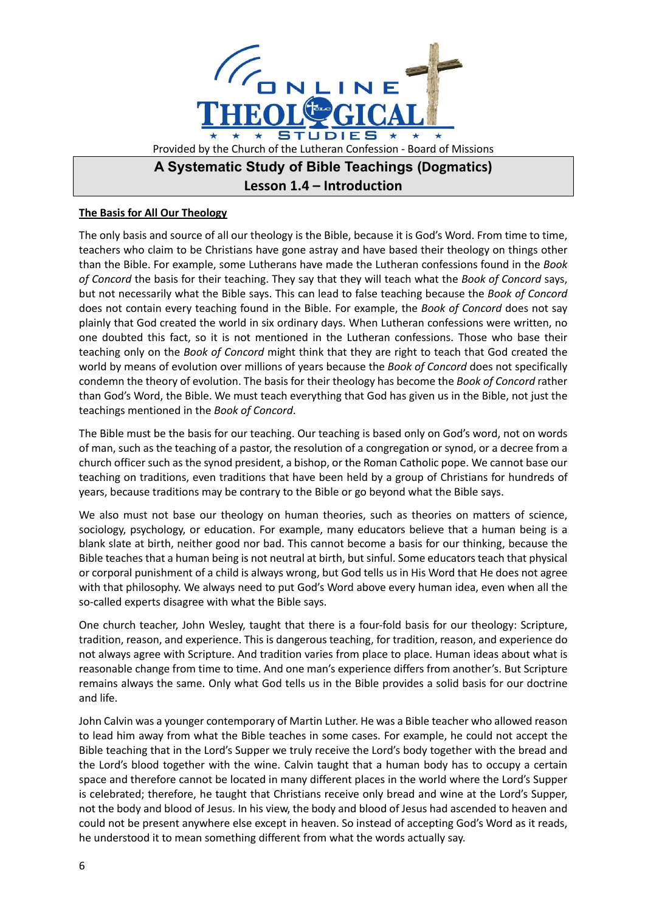

## **The Basis for All Our Theology**

The only basis and source of all our theology is the Bible, because it is God's Word. From time to time, teachers who claim to be Christians have gone astray and have based their theology on things other than the Bible. For example, some Lutherans have made the Lutheran confessions found in the *Book of Concord* the basis for their teaching. They say that they will teach what the *Book of Concord* says, but not necessarily what the Bible says. This can lead to false teaching because the *Book of Concord* does not contain every teaching found in the Bible. For example, the *Book of Concord* does not say plainly that God created the world in six ordinary days. When Lutheran confessions were written, no one doubted this fact, so it is not mentioned in the Lutheran confessions. Those who base their teaching only on the *Book of Concord* might think that they are right to teach that God created the world by means of evolution over millions of years because the *Book of Concord* does not specifically condemn the theory of evolution. The basis for their theology has become the *Book of Concord* rather than God's Word, the Bible. We must teach everything that God has given us in the Bible, not just the teachings mentioned in the *Book of Concord*.

The Bible must be the basis for our teaching. Our teaching is based only on God's word, not on words of man, such as the teaching of a pastor, the resolution of a congregation or synod, or a decree from a church officer such as the synod president, a bishop, or the Roman Catholic pope. We cannot base our teaching on traditions, even traditions that have been held by a group of Christians for hundreds of years, because traditions may be contrary to the Bible or go beyond what the Bible says.

We also must not base our theology on human theories, such as theories on matters of science, sociology, psychology, or education. For example, many educators believe that a human being is a blank slate at birth, neither good nor bad. This cannot become a basis for our thinking, because the Bible teaches that a human being is not neutral at birth, but sinful. Some educators teach that physical or corporal punishment of a child is always wrong, but God tells us in His Word that He does not agree with that philosophy. We always need to put God's Word above every human idea, even when all the so-called experts disagree with what the Bible says.

One church teacher, John Wesley, taught that there is a four-fold basis for our theology: Scripture, tradition, reason, and experience. This is dangerous teaching, for tradition, reason, and experience do not always agree with Scripture. And tradition varies from place to place. Human ideas about what is reasonable change from time to time. And one man's experience differs from another's. But Scripture remains always the same. Only what God tells us in the Bible provides a solid basis for our doctrine and life.

John Calvin was a younger contemporary of Martin Luther. He was a Bible teacher who allowed reason to lead him away from what the Bible teaches in some cases. For example, he could not accept the Bible teaching that in the Lord's Supper we truly receive the Lord's body together with the bread and the Lord's blood together with the wine. Calvin taught that a human body has to occupy a certain space and therefore cannot be located in many different places in the world where the Lord's Supper is celebrated; therefore, he taught that Christians receive only bread and wine at the Lord's Supper, not the body and blood of Jesus. In his view, the body and blood of Jesus had ascended to heaven and could not be present anywhere else except in heaven. So instead of accepting God's Word as it reads, he understood it to mean something different from what the words actually say.